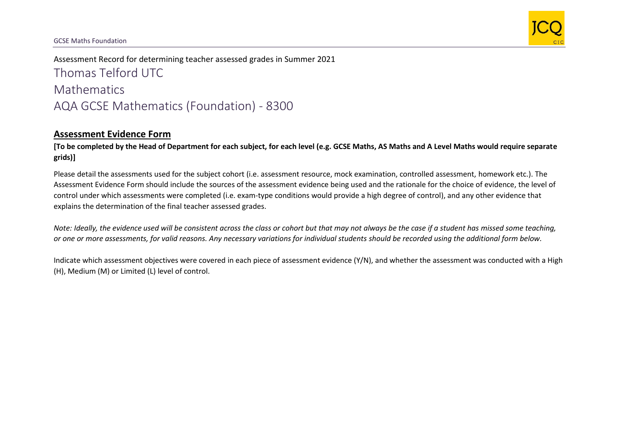

Assessment Record for determining teacher assessed grades in Summer 2021 Thomas Telford UTC **Mathematics** AQA GCSE Mathematics (Foundation) - 8300

## **Assessment Evidence Form**

**[To be completed by the Head of Department for each subject, for each level (e.g. GCSE Maths, AS Maths and A Level Maths would require separate grids)]**

Please detail the assessments used for the subject cohort (i.e. assessment resource, mock examination, controlled assessment, homework etc.). The Assessment Evidence Form should include the sources of the assessment evidence being used and the rationale for the choice of evidence, the level of control under which assessments were completed (i.e. exam-type conditions would provide a high degree of control), and any other evidence that explains the determination of the final teacher assessed grades.

*Note: Ideally, the evidence used will be consistent across the class or cohort but that may not always be the case if a student has missed some teaching, or one or more assessments, for valid reasons. Any necessary variations for individual students should be recorded using the additional form below.* 

Indicate which assessment objectives were covered in each piece of assessment evidence (Y/N), and whether the assessment was conducted with a High (H), Medium (M) or Limited (L) level of control.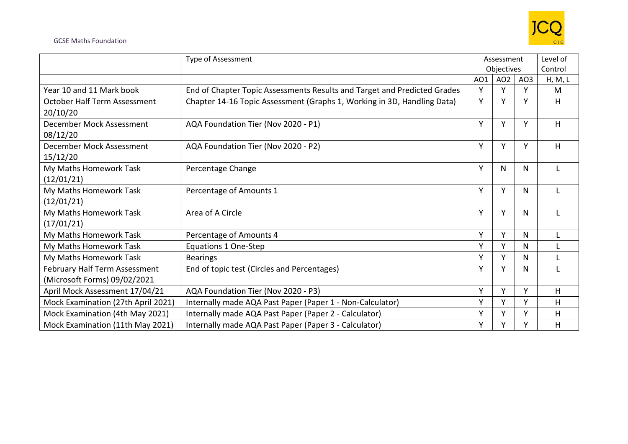

## GCSE Maths Foundation

|                                     | Type of Assessment                                                       | Assessment |                 | Level of        |         |
|-------------------------------------|--------------------------------------------------------------------------|------------|-----------------|-----------------|---------|
|                                     |                                                                          | Objectives |                 | Control         |         |
|                                     |                                                                          | AO1        | AO <sub>2</sub> | AO <sub>3</sub> | H, M, L |
| Year 10 and 11 Mark book            | End of Chapter Topic Assessments Results and Target and Predicted Grades | Y          | Y               | γ               | M       |
| <b>October Half Term Assessment</b> | Chapter 14-16 Topic Assessment (Graphs 1, Working in 3D, Handling Data)  | Y          | Y               | Υ               | Η       |
| 20/10/20                            |                                                                          |            |                 |                 |         |
| December Mock Assessment            | AQA Foundation Tier (Nov 2020 - P1)                                      | Υ          | Y               | Υ               | H       |
| 08/12/20                            |                                                                          |            |                 |                 |         |
| December Mock Assessment            | AQA Foundation Tier (Nov 2020 - P2)                                      | Υ          | Y               | Υ               | H       |
| 15/12/20                            |                                                                          |            |                 |                 |         |
| My Maths Homework Task              | Percentage Change                                                        | Y          | N               | N               |         |
| (12/01/21)                          |                                                                          |            |                 |                 |         |
| My Maths Homework Task              | Percentage of Amounts 1                                                  | Y          | Y               | N               |         |
| (12/01/21)                          |                                                                          |            |                 |                 |         |
| My Maths Homework Task              | Area of A Circle                                                         | Y          | Y               | N               |         |
| (17/01/21)                          |                                                                          |            |                 |                 |         |
| My Maths Homework Task              | Percentage of Amounts 4                                                  | Y          | Y               | N               |         |
| My Maths Homework Task              | Equations 1 One-Step                                                     | Y          | Y               | N               |         |
| My Maths Homework Task              | <b>Bearings</b>                                                          | Y          | Y               | N               |         |
| February Half Term Assessment       | End of topic test (Circles and Percentages)                              | Y          | Y               | N               |         |
| (Microsoft Forms) 09/02/2021        |                                                                          |            |                 |                 |         |
| April Mock Assessment 17/04/21      | AQA Foundation Tier (Nov 2020 - P3)                                      | Y          | Y               | Υ               | H       |
| Mock Examination (27th April 2021)  | Internally made AQA Past Paper (Paper 1 - Non-Calculator)                | Y          | Υ               | Υ               | Η       |
| Mock Examination (4th May 2021)     | Internally made AQA Past Paper (Paper 2 - Calculator)                    | Y          | Y               | v               | Η       |
| Mock Examination (11th May 2021)    | Internally made AQA Past Paper (Paper 3 - Calculator)                    | Υ          | Y               | v               | H       |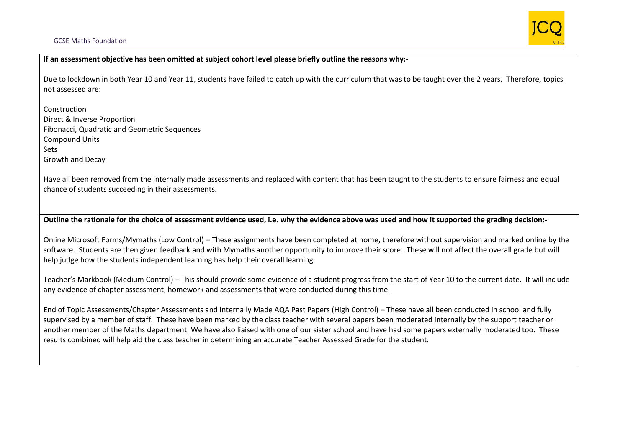## GCSE Maths Foundation



**If an assessment objective has been omitted at subject cohort level please briefly outline the reasons why:-**

Due to lockdown in both Year 10 and Year 11, students have failed to catch up with the curriculum that was to be taught over the 2 years. Therefore, topics not assessed are:

Construction Direct & Inverse Proportion Fibonacci, Quadratic and Geometric Sequences Compound Units Sets Growth and Decay

Have all been removed from the internally made assessments and replaced with content that has been taught to the students to ensure fairness and equal chance of students succeeding in their assessments.

**Outline the rationale for the choice of assessment evidence used, i.e. why the evidence above was used and how it supported the grading decision:-**

Online Microsoft Forms/Mymaths (Low Control) – These assignments have been completed at home, therefore without supervision and marked online by the software. Students are then given feedback and with Mymaths another opportunity to improve their score. These will not affect the overall grade but will help judge how the students independent learning has help their overall learning.

Teacher's Markbook (Medium Control) – This should provide some evidence of a student progress from the start of Year 10 to the current date. It will include any evidence of chapter assessment, homework and assessments that were conducted during this time.

End of Topic Assessments/Chapter Assessments and Internally Made AQA Past Papers (High Control) – These have all been conducted in school and fully supervised by a member of staff. These have been marked by the class teacher with several papers been moderated internally by the support teacher or another member of the Maths department. We have also liaised with one of our sister school and have had some papers externally moderated too. These results combined will help aid the class teacher in determining an accurate Teacher Assessed Grade for the student.